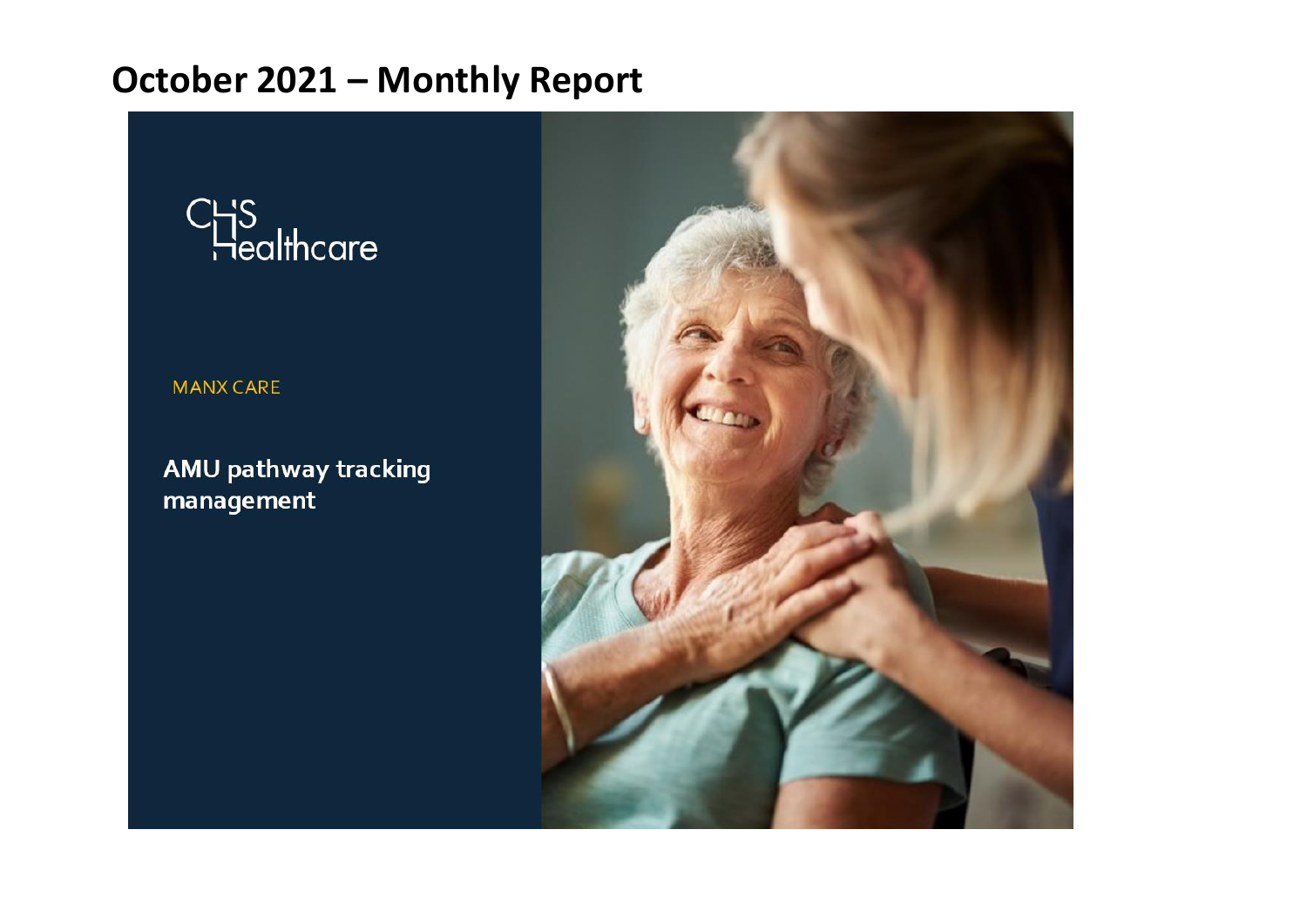

#### **MANX CARE**

AMU pathway tracking management

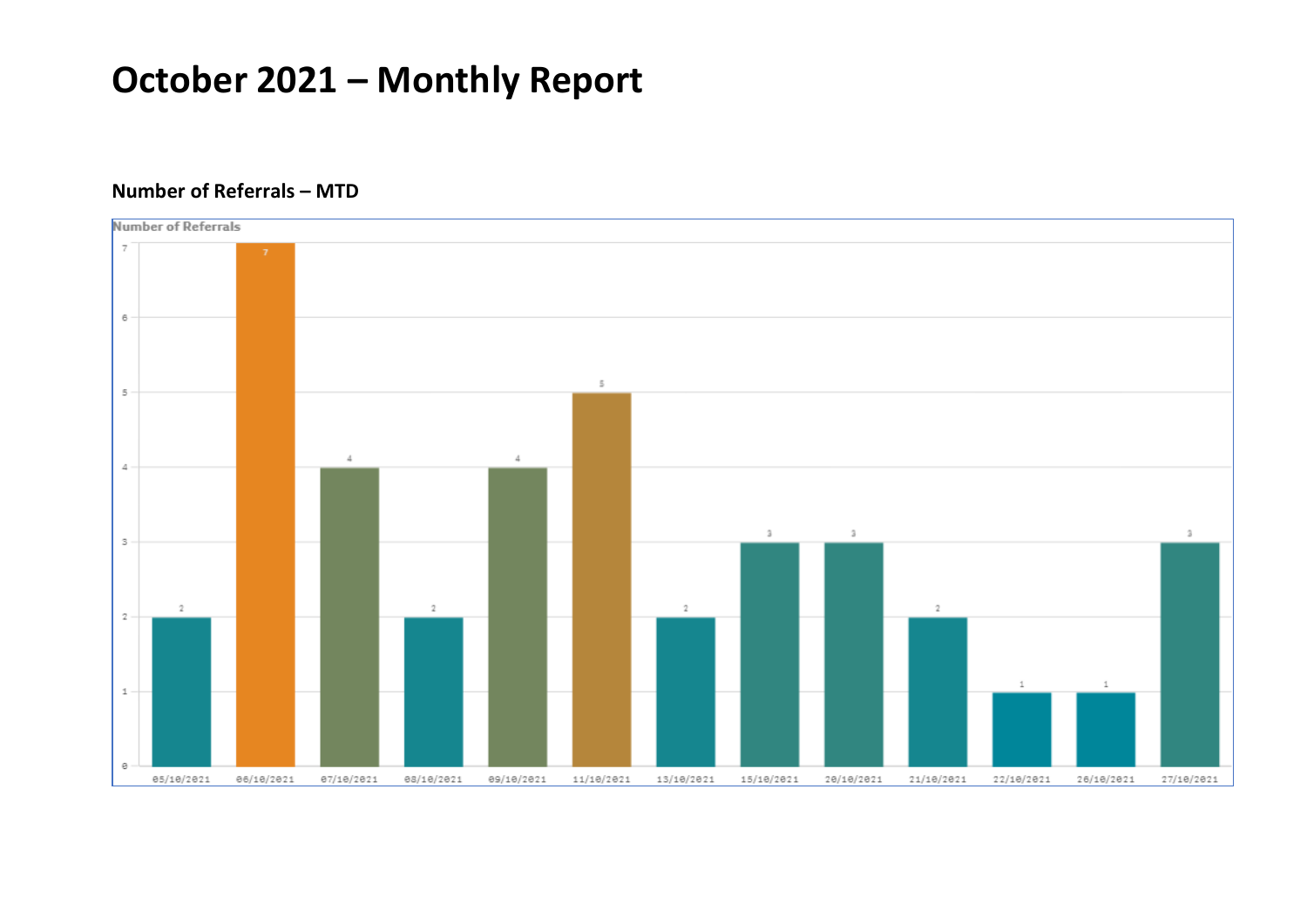

#### **Number of Referrals – MTD**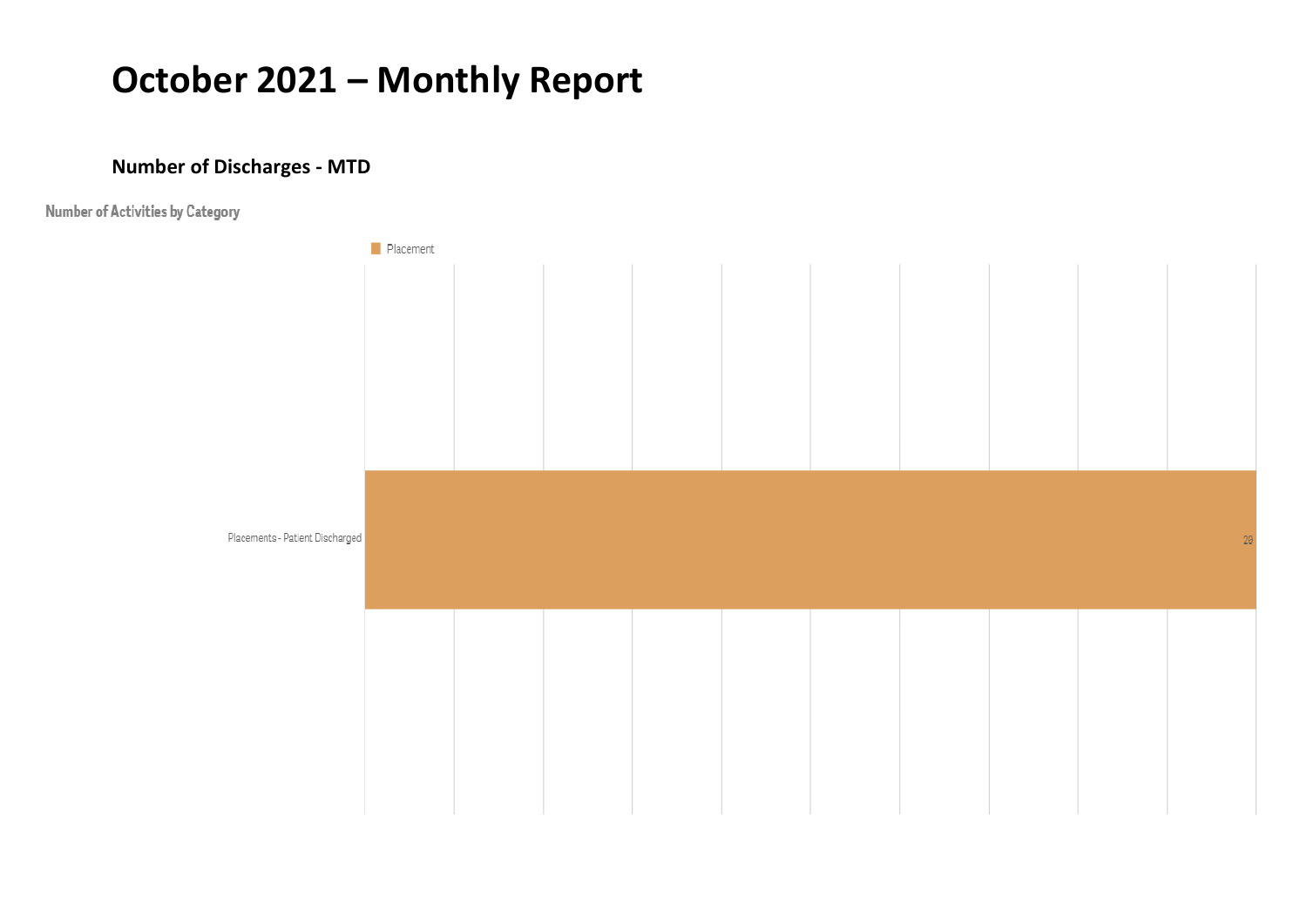#### **Number of Discharges - MTD**

Number of Activities by Category

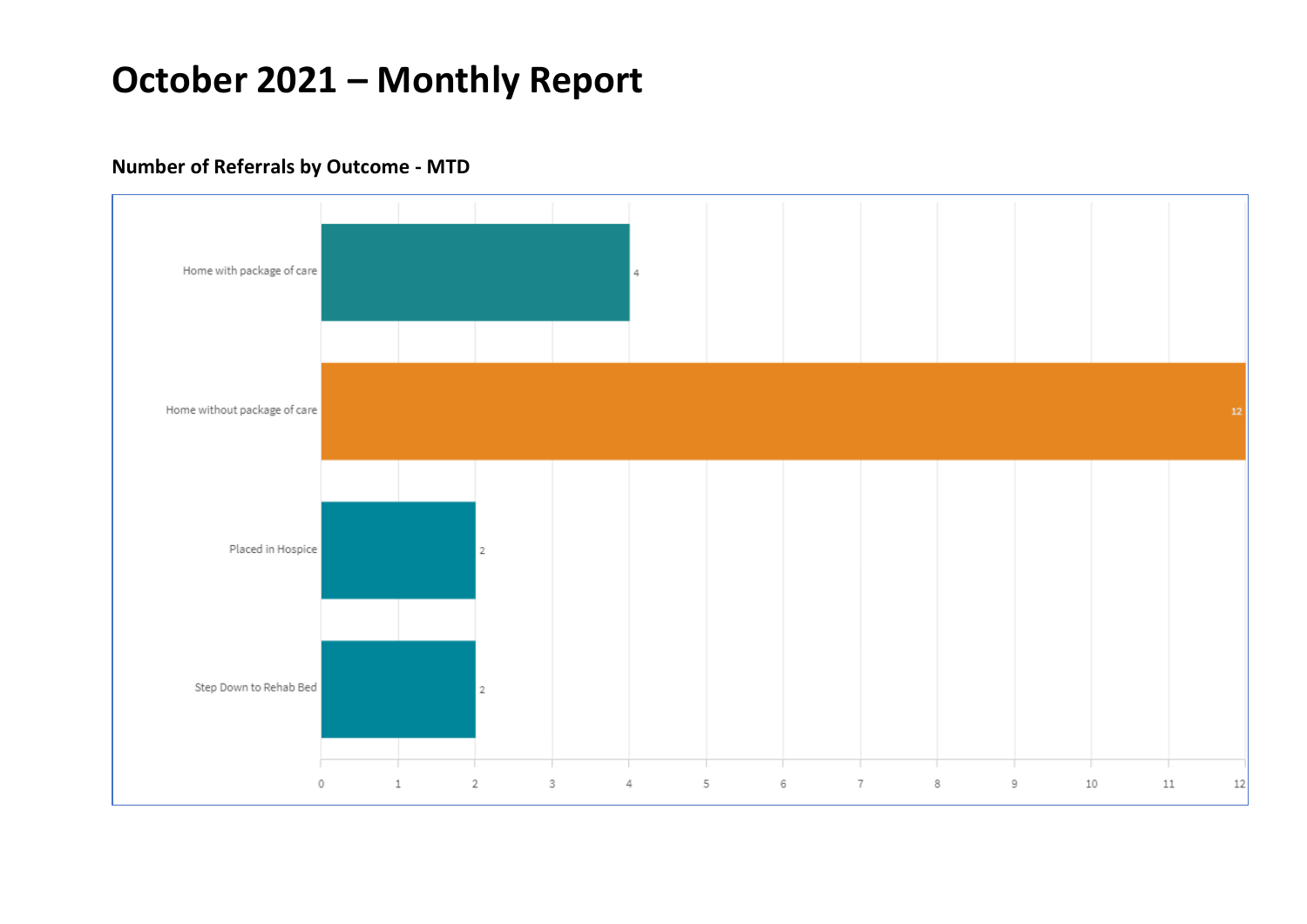#### **Number of Referrals by Outcome - MTD**

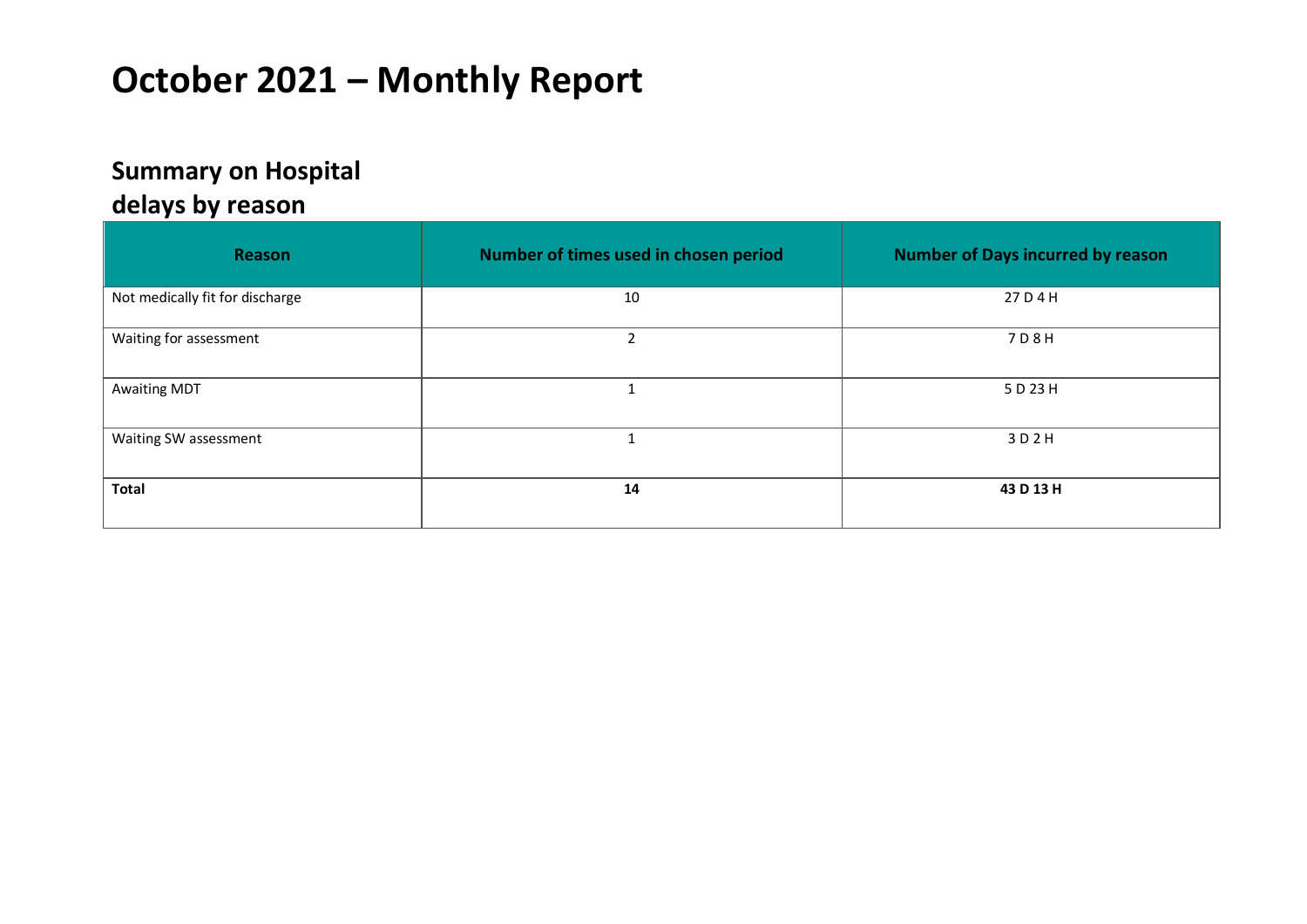### **Summary on Hospital**

#### **delays by reason**

| Reason                          | Number of times used in chosen period | <b>Number of Days incurred by reason</b> |
|---------------------------------|---------------------------------------|------------------------------------------|
| Not medically fit for discharge | 10                                    | 27 D 4 H                                 |
| Waiting for assessment          | $\overline{2}$                        | 7 D 8 H                                  |
| <b>Awaiting MDT</b>             | $\overline{\phantom{a}}$              | 5 D 23 H                                 |
| Waiting SW assessment           | ٠                                     | 3D2H                                     |
| <b>Total</b>                    | 14                                    | 43 D 13 H                                |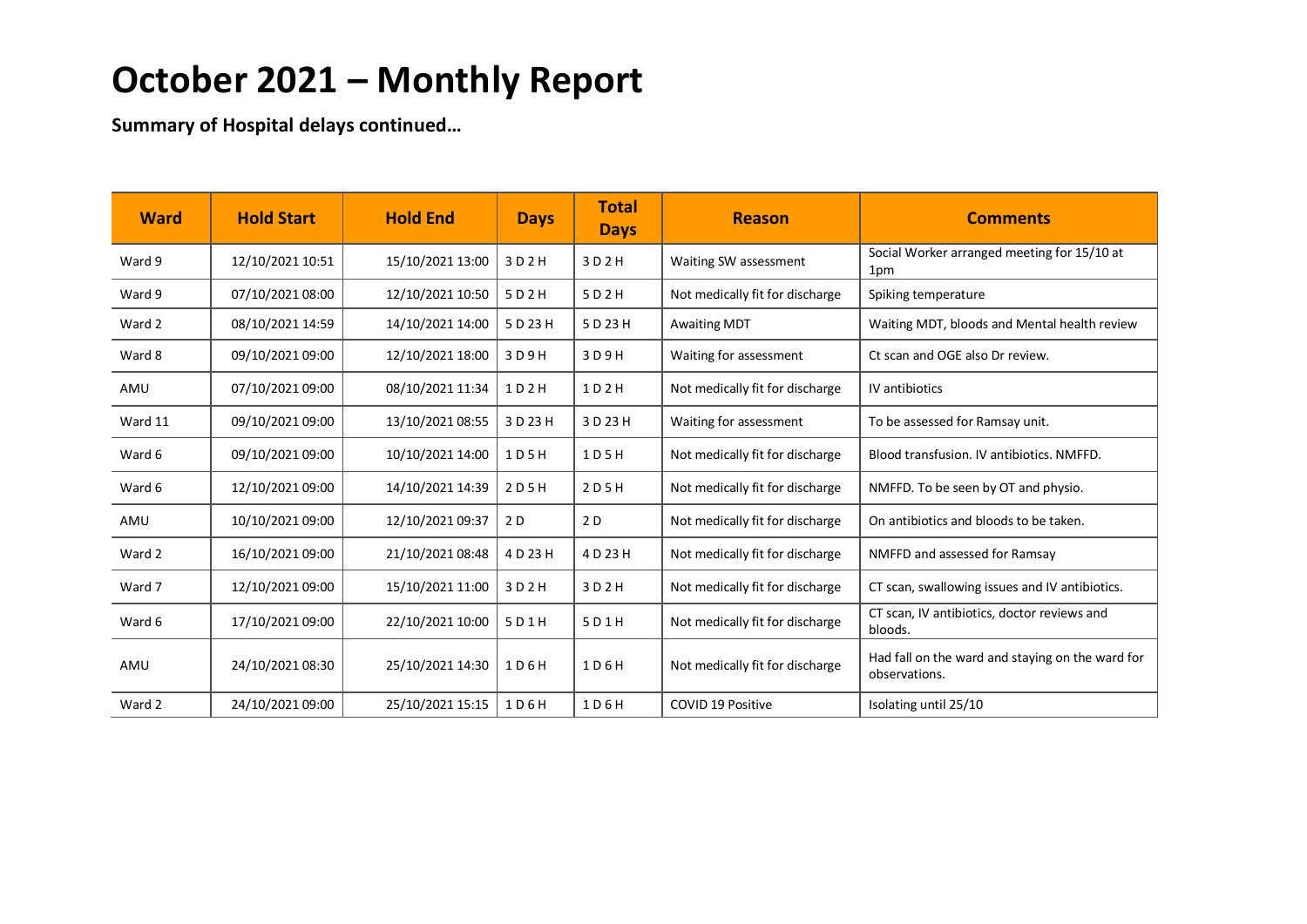**Summary of Hospital delays continued…**

| <b>Ward</b> | <b>Hold Start</b> | <b>Hold End</b>  | <b>Days</b> | <b>Total</b><br><b>Days</b> | <b>Reason</b>                   | <b>Comments</b>                                                   |
|-------------|-------------------|------------------|-------------|-----------------------------|---------------------------------|-------------------------------------------------------------------|
| Ward 9      | 12/10/2021 10:51  | 15/10/2021 13:00 | 3 D 2 H     | 3 D 2 H                     | Waiting SW assessment           | Social Worker arranged meeting for 15/10 at<br>1pm                |
| Ward 9      | 07/10/2021 08:00  | 12/10/2021 10:50 | 5 D 2 H     | 5 D 2 H                     | Not medically fit for discharge | Spiking temperature                                               |
| Ward 2      | 08/10/2021 14:59  | 14/10/2021 14:00 | 5 D 23 H    | 5 D 23 H                    | <b>Awaiting MDT</b>             | Waiting MDT, bloods and Mental health review                      |
| Ward 8      | 09/10/2021 09:00  | 12/10/2021 18:00 | 3 D 9 H     | 3 D 9 H                     | Waiting for assessment          | Ct scan and OGE also Dr review.                                   |
| AMU         | 07/10/2021 09:00  | 08/10/2021 11:34 | 1D2H        | 1D2H                        | Not medically fit for discharge | IV antibiotics                                                    |
| Ward 11     | 09/10/2021 09:00  | 13/10/2021 08:55 | 3 D 23 H    | 3 D 23 H                    | Waiting for assessment          | To be assessed for Ramsay unit.                                   |
| Ward 6      | 09/10/2021 09:00  | 10/10/2021 14:00 | 1 D 5 H     | 1 D 5 H                     | Not medically fit for discharge | Blood transfusion. IV antibiotics. NMFFD.                         |
| Ward 6      | 12/10/2021 09:00  | 14/10/2021 14:39 | 2 D 5 H     | 2 D 5 H                     | Not medically fit for discharge | NMFFD. To be seen by OT and physio.                               |
| AMU         | 10/10/2021 09:00  | 12/10/2021 09:37 | 2 D         | 2 D                         | Not medically fit for discharge | On antibiotics and bloods to be taken.                            |
| Ward 2      | 16/10/2021 09:00  | 21/10/2021 08:48 | 4 D 23 H    | 4 D 23 H                    | Not medically fit for discharge | NMFFD and assessed for Ramsay                                     |
| Ward 7      | 12/10/2021 09:00  | 15/10/2021 11:00 | 3 D 2 H     | 3 D 2 H                     | Not medically fit for discharge | CT scan, swallowing issues and IV antibiotics.                    |
| Ward 6      | 17/10/2021 09:00  | 22/10/2021 10:00 | 5 D 1 H     | 5D1H                        | Not medically fit for discharge | CT scan, IV antibiotics, doctor reviews and<br>bloods.            |
| AMU         | 24/10/2021 08:30  | 25/10/2021 14:30 | 1 D 6 H     | 1 D 6 H                     | Not medically fit for discharge | Had fall on the ward and staying on the ward for<br>observations. |
| Ward 2      | 24/10/2021 09:00  | 25/10/2021 15:15 | 1 D 6 H     | 1D6H                        | <b>COVID 19 Positive</b>        | Isolating until 25/10                                             |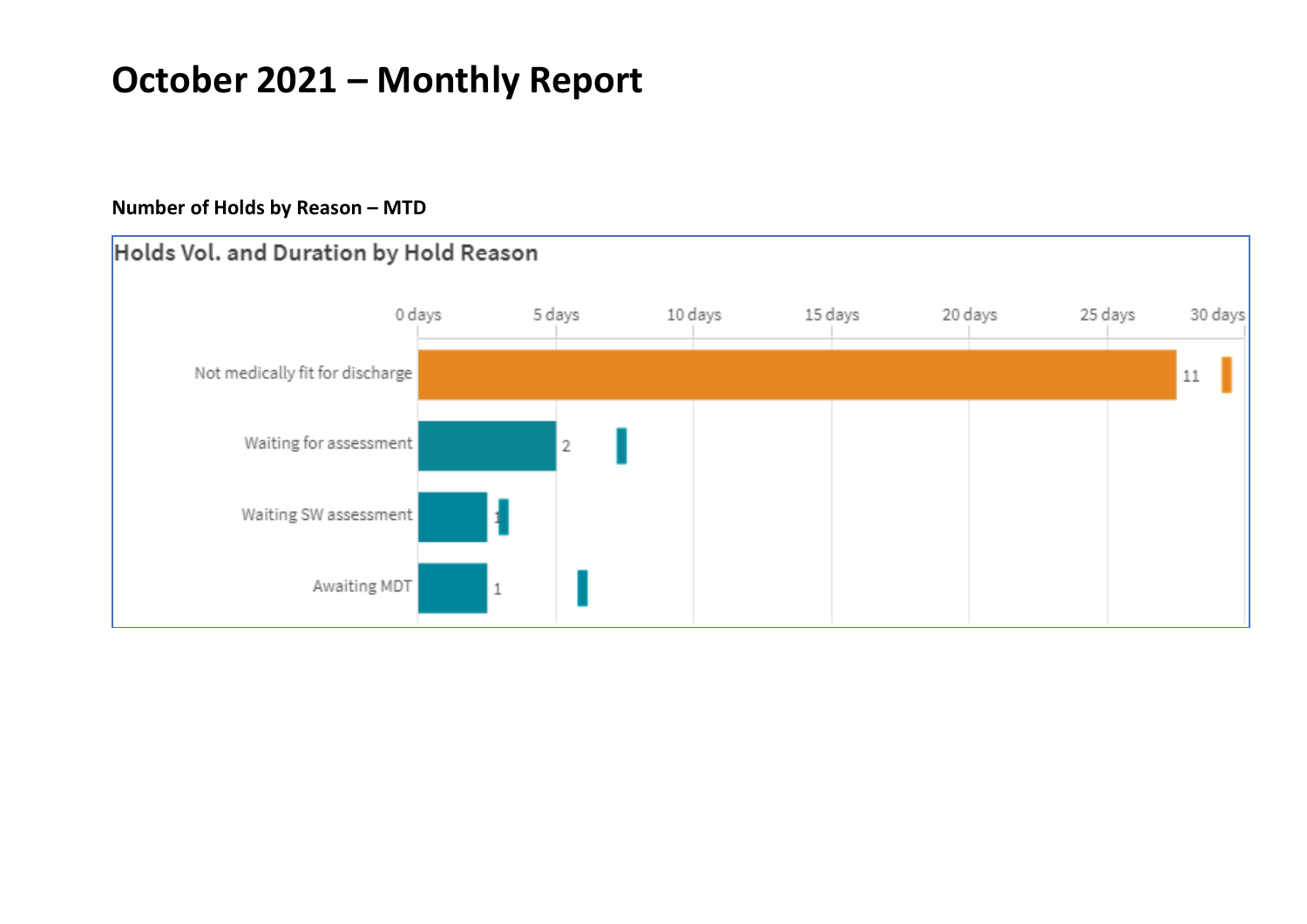#### **Number of Holds by Reason – MTD**

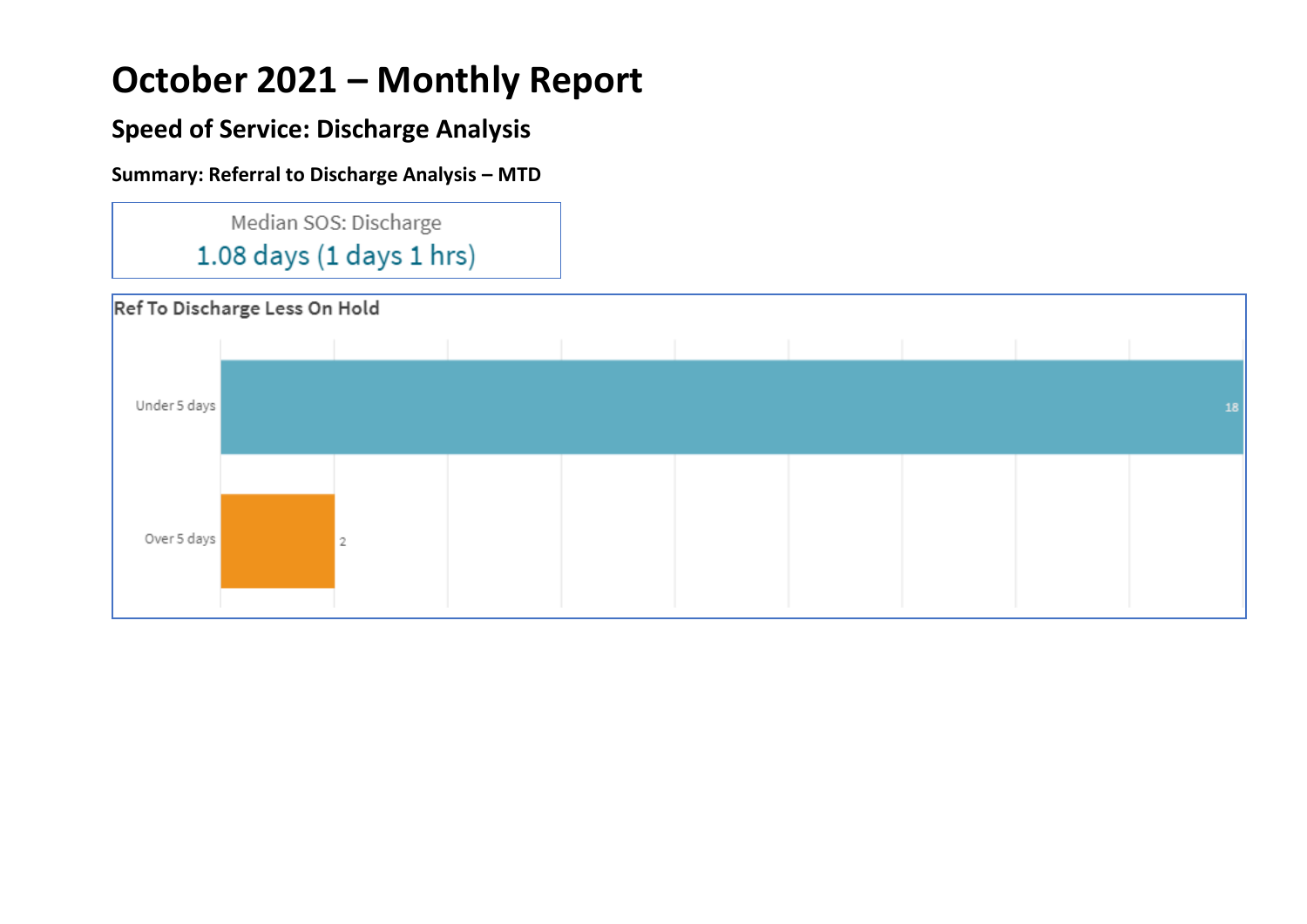### **Speed of Service: Discharge Analysis**

#### **Summary: Referral to Discharge Analysis – MTD**



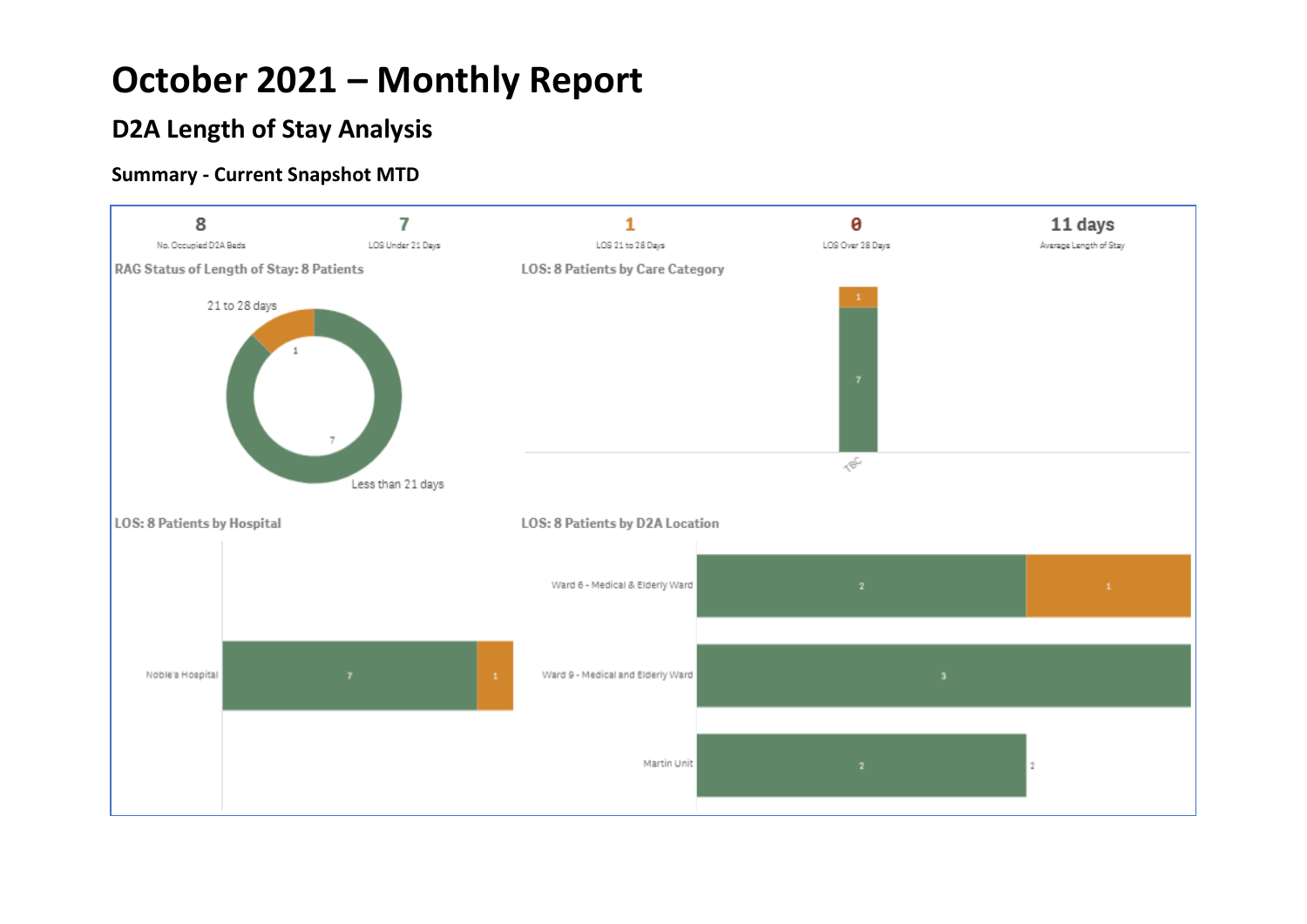### **D2A Length of Stay Analysis**

#### **Summary - Current Snapshot MTD**